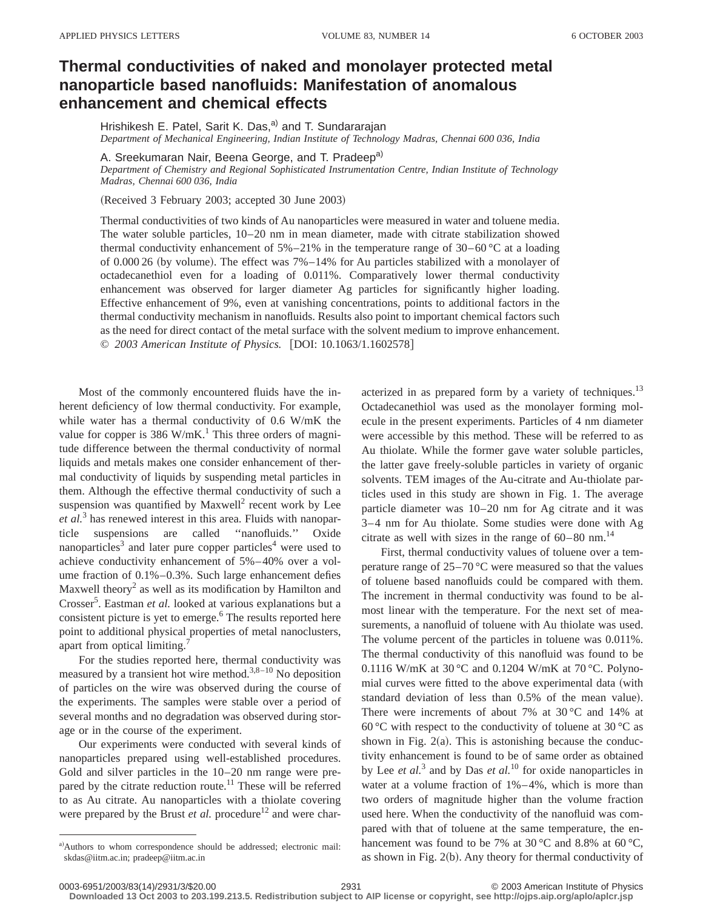## **Thermal conductivities of naked and monolayer protected metal nanoparticle based nanofluids: Manifestation of anomalous enhancement and chemical effects**

Hrishikesh E. Patel, Sarit K. Das, $a$ ) and T. Sundararajan *Department of Mechanical Engineering, Indian Institute of Technology Madras, Chennai 600 036, India*

A. Sreekumaran Nair, Beena George, and T. Pradeep<sup>a)</sup>

*Department of Chemistry and Regional Sophisticated Instrumentation Centre, Indian Institute of Technology Madras, Chennai 600 036, India*

(Received 3 February 2003; accepted 30 June 2003)

Thermal conductivities of two kinds of Au nanoparticles were measured in water and toluene media. The water soluble particles, 10–20 nm in mean diameter, made with citrate stabilization showed thermal conductivity enhancement of  $5\% -21\%$  in the temperature range of  $30-60\degree$ C at a loading of  $0.00026$  (by volume). The effect was 7%–14% for Au particles stabilized with a monolayer of octadecanethiol even for a loading of 0.011%. Comparatively lower thermal conductivity enhancement was observed for larger diameter Ag particles for significantly higher loading. Effective enhancement of 9%, even at vanishing concentrations, points to additional factors in the thermal conductivity mechanism in nanofluids. Results also point to important chemical factors such as the need for direct contact of the metal surface with the solvent medium to improve enhancement. © 2003 American Institute of Physics. [DOI: 10.1063/1.1602578]

Most of the commonly encountered fluids have the inherent deficiency of low thermal conductivity. For example, while water has a thermal conductivity of 0.6 W/mK the value for copper is 386 W/mK.<sup>1</sup> This three orders of magnitude difference between the thermal conductivity of normal liquids and metals makes one consider enhancement of thermal conductivity of liquids by suspending metal particles in them. Although the effective thermal conductivity of such a suspension was quantified by  $Maxwell<sup>2</sup>$  recent work by Lee *et al.*<sup>3</sup> has renewed interest in this area. Fluids with nanoparticle suspensions are called ''nanofluids.'' Oxide nanoparticles<sup>3</sup> and later pure copper particles<sup>4</sup> were used to achieve conductivity enhancement of 5%–40% over a volume fraction of 0.1%–0.3%. Such large enhancement defies Maxwell theory<sup>2</sup> as well as its modification by Hamilton and Crosser<sup>5</sup>. Eastman *et al.* looked at various explanations but a consistent picture is yet to emerge.<sup>6</sup> The results reported here point to additional physical properties of metal nanoclusters, apart from optical limiting.<sup>7</sup>

For the studies reported here, thermal conductivity was measured by a transient hot wire method.<sup>3,8–10</sup> No deposition of particles on the wire was observed during the course of the experiments. The samples were stable over a period of several months and no degradation was observed during storage or in the course of the experiment.

Our experiments were conducted with several kinds of nanoparticles prepared using well-established procedures. Gold and silver particles in the 10–20 nm range were prepared by the citrate reduction route. $11$  These will be referred to as Au citrate. Au nanoparticles with a thiolate covering were prepared by the Brust *et al.* procedure<sup>12</sup> and were characterized in as prepared form by a variety of techniques.<sup>13</sup> Octadecanethiol was used as the monolayer forming molecule in the present experiments. Particles of 4 nm diameter were accessible by this method. These will be referred to as Au thiolate. While the former gave water soluble particles, the latter gave freely-soluble particles in variety of organic solvents. TEM images of the Au-citrate and Au-thiolate particles used in this study are shown in Fig. 1. The average particle diameter was 10–20 nm for Ag citrate and it was 3–4 nm for Au thiolate. Some studies were done with Ag citrate as well with sizes in the range of  $60-80$  nm.<sup>14</sup>

First, thermal conductivity values of toluene over a temperature range of 25–70 °C were measured so that the values of toluene based nanofluids could be compared with them. The increment in thermal conductivity was found to be almost linear with the temperature. For the next set of measurements, a nanofluid of toluene with Au thiolate was used. The volume percent of the particles in toluene was 0.011%. The thermal conductivity of this nanofluid was found to be 0.1116 W/mK at 30 °C and 0.1204 W/mK at 70 °C. Polynomial curves were fitted to the above experimental data (with standard deviation of less than 0.5% of the mean value). There were increments of about 7% at 30 °C and 14% at 60 °C with respect to the conductivity of toluene at 30 °C as shown in Fig.  $2(a)$ . This is astonishing because the conductivity enhancement is found to be of same order as obtained by Lee *et al.*<sup>3</sup> and by Das *et al.*<sup>10</sup> for oxide nanoparticles in water at a volume fraction of 1%–4%, which is more than two orders of magnitude higher than the volume fraction used here. When the conductivity of the nanofluid was compared with that of toluene at the same temperature, the enhancement was found to be 7% at 30 °C and 8.8% at 60 °C, as shown in Fig.  $2(b)$ . Any theory for thermal conductivity of

**Downloaded 13 Oct 2003 to 203.199.213.5. Redistribution subject to AIP license or copyright, see http://ojps.aip.org/aplo/aplcr.jsp**

a)Authors to whom correspondence should be addressed; electronic mail: skdas@iitm.ac.in; pradeep@iitm.ac.in

<sup>0003-6951/2003/83(14)/2931/3/\$20.00 © 2003</sup> American Institute of Physics 2931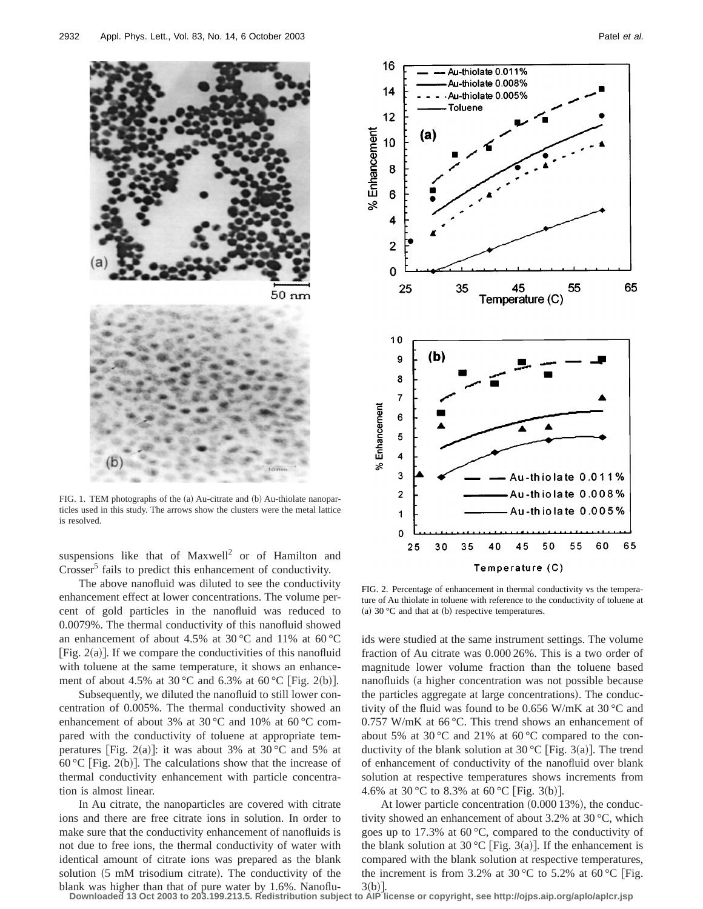

FIG. 1. TEM photographs of the (a) Au-citrate and (b) Au-thiolate nanoparticles used in this study. The arrows show the clusters were the metal lattice is resolved.

suspensions like that of  $Maxwell<sup>2</sup>$  or of Hamilton and Crosser<sup>5</sup> fails to predict this enhancement of conductivity.

The above nanofluid was diluted to see the conductivity enhancement effect at lower concentrations. The volume percent of gold particles in the nanofluid was reduced to 0.0079%. The thermal conductivity of this nanofluid showed an enhancement of about 4.5% at 30 °C and 11% at 60 °C  $[Fig. 2(a)]$ . If we compare the conductivities of this nanofluid with toluene at the same temperature, it shows an enhancement of about 4.5% at 30 °C and 6.3% at 60 °C [Fig. 2(b)].

Subsequently, we diluted the nanofluid to still lower concentration of 0.005%. The thermal conductivity showed an enhancement of about 3% at 30 °C and 10% at 60 °C compared with the conductivity of toluene at appropriate temperatures [Fig. 2(a)]: it was about 3% at 30 °C and 5% at 60 °C [Fig. 2(b)]. The calculations show that the increase of thermal conductivity enhancement with particle concentration is almost linear.

In Au citrate, the nanoparticles are covered with citrate ions and there are free citrate ions in solution. In order to make sure that the conductivity enhancement of nanofluids is not due to free ions, the thermal conductivity of water with identical amount of citrate ions was prepared as the blank solution  $(5 \text{ mM trisodium citrate})$ . The conductivity of the blank was higher than that of pure water by 1.6%. Nanoflu-



FIG. 2. Percentage of enhancement in thermal conductivity vs the temperature of Au thiolate in toluene with reference to the conductivity of toluene at (a)  $30 °C$  and that at (b) respective temperatures.

ids were studied at the same instrument settings. The volume fraction of Au citrate was 0.000 26%. This is a two order of magnitude lower volume fraction than the toluene based nanofluids (a higher concentration was not possible because the particles aggregate at large concentrations). The conductivity of the fluid was found to be 0.656 W/mK at 30 °C and 0.757 W/mK at 66 °C. This trend shows an enhancement of about 5% at 30 °C and 21% at 60 °C compared to the conductivity of the blank solution at 30 °C [Fig. 3(a)]. The trend of enhancement of conductivity of the nanofluid over blank solution at respective temperatures shows increments from 4.6% at 30 °C to 8.3% at 60 °C [Fig. 3(b)].

At lower particle concentration  $(0.00013%)$ , the conductivity showed an enhancement of about 3.2% at 30 °C, which goes up to 17.3% at  $60^{\circ}$ C, compared to the conductivity of the blank solution at 30 °C [Fig. 3(a)]. If the enhancement is compared with the blank solution at respective temperatures, the increment is from 3.2% at 30 °C to 5.2% at 60 °C [Fig.  $3(b)$ 

**Downloaded 13 Oct 2003 to 203.199.213.5. Redistribution subject to AIP license or copyright, see http://ojps.aip.org/aplo/aplcr.jsp**